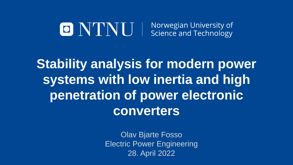# O NTNU | Norwegian University of

**Stability analysis for modern power systems with low inertia and high penetration of power electronic converters**

> Olav Bjarte Fosso Electric Power Engineering 28. April 2022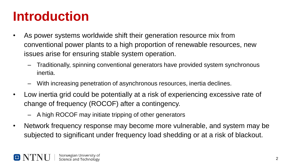#### **Introduction**

- As power systems worldwide shift their generation resource mix from conventional power plants to a high proportion of renewable resources, new issues arise for ensuring stable system operation.
	- Traditionally, spinning conventional generators have provided system synchronous inertia.
	- With increasing penetration of asynchronous resources, inertia declines.
- Low inertia grid could be potentially at a risk of experiencing excessive rate of change of frequency (ROCOF) after a contingency.
	- A high ROCOF may initiate tripping of other generators
- Network frequency response may become more vulnerable, and system may be subjected to significant under frequency load shedding or at a risk of blackout.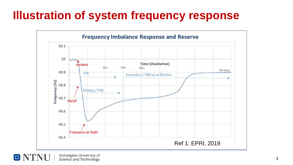#### **Illustration of system frequency response**



Norwegian University of  $\blacksquare$   $\blacksquare$ Science and Technology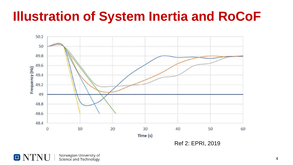#### **Illustration of System Inertia and RoCoF**



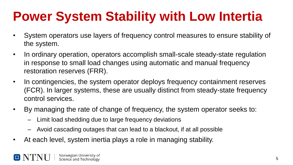### **Power System Stability with Low Intertia**

- System operators use layers of frequency control measures to ensure stability of the system.
- In ordinary operation, operators accomplish small-scale steady-state regulation in response to small load changes using automatic and manual frequency restoration reserves (FRR).
- In contingencies, the system operator deploys frequency containment reserves (FCR). In larger systems, these are usually distinct from steady-state frequency control services.
- By managing the rate of change of frequency, the system operator seeks to:
	- Limit load shedding due to large frequency deviations
	- Avoid cascading outages that can lead to a blackout, if at all possible
- At each level, system inertia plays a role in managing stability.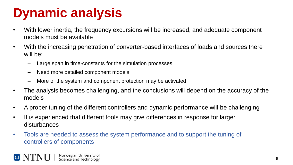### **Dynamic analysis**

- With lower inertia, the frequency excursions will be increased, and adequate component models must be available
- With the increasing penetration of converter-based interfaces of loads and sources there will be:
	- Large span in time-constants for the simulation processes
	- Need more detailed component models
	- More of the system and component protection may be activated
- The analysis becomes challenging, and the conclusions will depend on the accuracy of the models
- A proper tuning of the different controllers and dynamic performance will be challenging
- It is experienced that different tools may give differences in response for larger disturbances
- Tools are needed to assess the system performance and to support the tuning of controllers of components

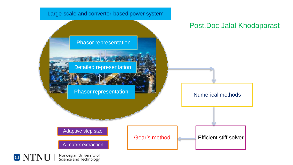<span id="page-6-0"></span>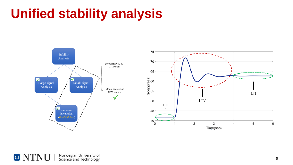#### **Unified stability analysis**



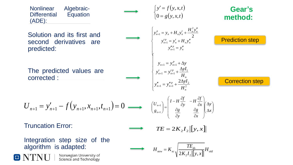<span id="page-8-0"></span>

Norwegian University of Science and Technology

 $\Box$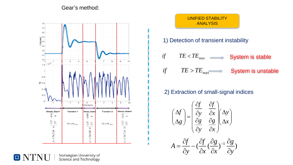#### [Gear's method:](#page-16-0)



UNIFIED STABILITY ANALYSIS 1) [Detection](#page-16-0) of transient instability

*if*  $TE < TE$ <sub>max</sub> System is stable *if*  $TE > TE_{\text{max}}$ System is unstable

#### 2) Extraction of [small-signal](#page-16-0) indices



Norwegian University of<br>Science and Technology

 $\Box$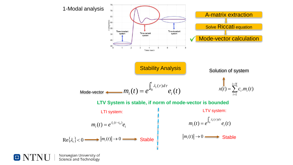

Norwegian University of Science and Technology

 $\boxed{\textcolor{blue}{\Box}}$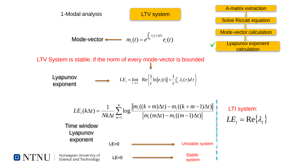

IO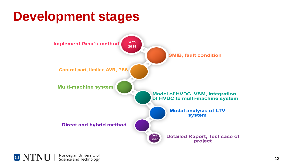#### **Development stages**



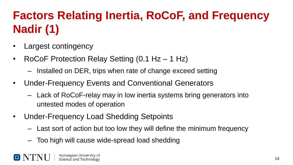#### **Factors Relating Inertia, RoCoF, and Frequency Nadir (1)**

- Largest contingency
- RoCoF Protection Relay Setting (0.1 Hz 1 Hz)
	- Installed on DER, trips when rate of change exceed setting
- Under-Frequency Events and Conventional Generators
	- Lack of RoCoF-relay may in low inertia systems bring generators into untested modes of operation
- Under-Frequency Load Shedding Setpoints
	- Last sort of action but too low they will define the minimum frequency
	- Too high will cause wide-spread load shedding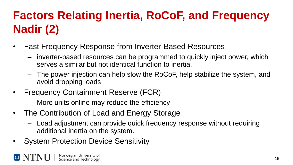#### **Factors Relating Inertia, RoCoF, and Frequency Nadir (2)**

- Fast Frequency Response from Inverter-Based Resources
	- inverter-based resources can be programmed to quickly inject power, which serves a similar but not identical function to inertia.
	- The power injection can help slow the RoCoF, help stabilize the system, and avoid dropping loads
- Frequency Containment Reserve (FCR)
	- More units online may reduce the efficiency
- The Contribution of Load and Energy Storage
	- Load adjustment can provide quick frequency response without requiring additional inertia on the system.
- System Protection Device Sensitivity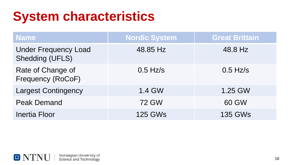#### **System characteristics**

| <b>Name</b>                                           | <b>Nordic System</b> | <b>Great Brittain</b> |
|-------------------------------------------------------|----------------------|-----------------------|
| <b>Under Frequency Load</b><br><b>Shedding (UFLS)</b> | 48.85 Hz             | 48.8 Hz               |
| Rate of Change of<br>Frequency (RoCoF)                | $0.5$ Hz/s           | $0.5$ Hz/s            |
| <b>Largest Contingency</b>                            | 1.4 GW               | 1.25 GW               |
| <b>Peak Demand</b>                                    | <b>72 GW</b>         | 60 GW                 |
| <b>Inertia Floor</b>                                  | <b>125 GWs</b>       | <b>135 GWs</b>        |

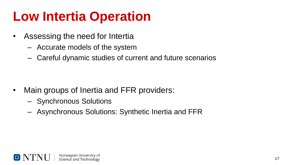#### <span id="page-16-0"></span>**Low Intertia Operation**

- Assessing the need for Intertia
	- Accurate models of the system
	- Careful dynamic studies of current and future scenarios

- Main groups of Inertia and FFR providers:
	- Synchronous Solutions
	- Asynchronous Solutions: Synthetic Inertia and FFR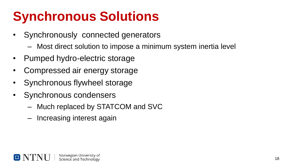## **Synchronous Solutions**

- Synchronously connected generators
	- Most direct solution to impose a minimum system inertia level
- Pumped hydro-electric storage
- Compressed air energy storage
- Synchronous flywheel storage
- Synchronous condensers
	- Much replaced by STATCOM and SVC
	- Increasing interest again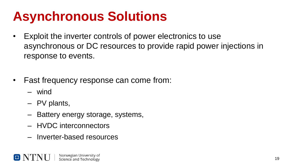### **Asynchronous Solutions**

- Exploit the inverter controls of power electronics to use asynchronous or DC resources to provide rapid power injections in response to events.
- Fast frequency response can come from:
	- wind
	- PV plants,
	- Battery energy storage, systems,
	- HVDC interconnectors
	- Inverter-based resources

Norwegian University of Science and Technology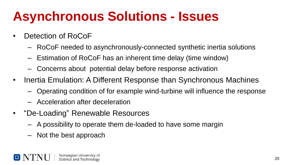### **Asynchronous Solutions - Issues**

- Detection of RoCoF
	- RoCoF needed to asynchronously-connected synthetic inertia solutions
	- Estimation of RoCoF has an inherent time delay (time window)
	- Concerns about potential delay before response activation
- Inertia Emulation: A Different Response than Synchronous Machines
	- Operating condition of for example wind-turbine will influence the response
	- Acceleration after deceleration
- $\bullet$ "De-Loading" Renewable Resources
	- A possibility to operate them de-loaded to have some margin
	- Not the best approach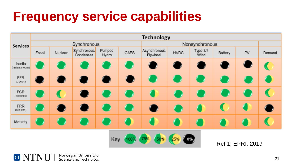#### **Frequency service capabilities**



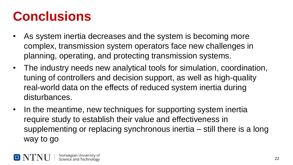### **Conclusions**

- As system inertia decreases and the system is becoming more complex, transmission system operators face new challenges in planning, operating, and protecting transmission systems.
- The industry needs new analytical tools for simulation, coordination, tuning of controllers and decision support, as well as high-quality real-world data on the effects of reduced system inertia during disturbances.
- In the meantime, new techniques for supporting system inertia require study to establish their value and effectiveness in supplementing or replacing synchronous inertia – still there is a long way to go

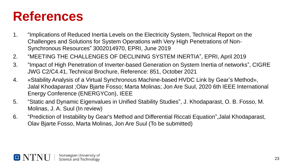#### **References**

- 1. "Implications of Reduced Inertia Levels on the Electricity System, Technical Report on the Challenges and Solutions for System Operations with Very High Penetrations of Non-Synchronous Resources" 3002014970, EPRI, June 2019
- 2. "MEETING THE CHALLENGES OF DECLINING SYSTEM INERTIA", EPRI, April 2019
- 3. "Impact of High Penetration of Inverter-based Generation on System Inertia of networks", CIGRE JWG C2/C4.41, Technical Brochure, Reference: 851, October 2021
- 4. «Stability Analysis of a Virtual Synchronous Machine-based HVDC Link by Gear's Method», Jalal Khodaparast ;Olav Bjarte Fosso; Marta Molinas; Jon Are Suul, 2020 6th IEEE International Energy Conference (ENERGYCon), IEEE
- 5. "Static and Dynamic Eigenvalues in Unified Stability Studies", J. Khodaparast, O. B. Fosso, M. Molinas, J. A. Suul (In review)
- 6. "Prediction of Instability by Gear's Method and Differential Riccati Equation",Jalal Khodaparast, Olav Bjarte Fosso, Marta Molinas, Jon Are Suul (To be submitted)